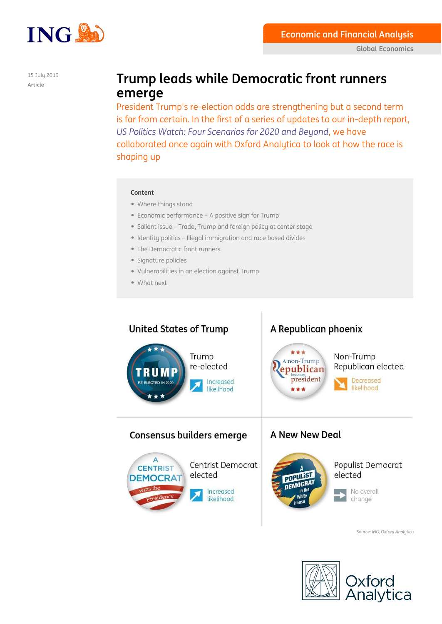

15 July 2019

# **Article Trump leads while Democratic front runners emerge**

President Trump's re-election odds are strengthening but a second term is far from certain. In the first of a series of updates to our in-depth report, *[US Politics Watch: Four Scenarios for 2020 and Beyond](https://think.ing.com/uploads/reports/US_Election_AprilRBfinal_3.pdf)*, we have collaborated once again with Oxford Analytica to look at how the race is shaping up

## **Content**

- Where things stand
- Economic performance A positive sign for Trump
- Salient issue Trade, Trump and foreign policy at center stage
- Identity politics Illegal immigration and race based divides

likelihood

- The Democratic front runners
- Signature policies
- Vulnerabilities in an election against Trump
- What next



*Source: ING, Oxford Analytica*



 $\mathbf{P}$ 

change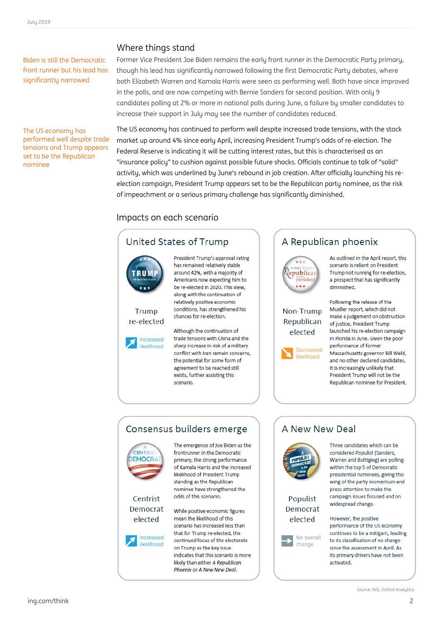Biden is still the Democratic front runner but his lead has significantly narrowed

The US economy has performed well despite trade tensions and Trump appears set to be the Republican nominee

# Where things stand

Former Vice President Joe Biden remains the early front runner in the Democratic Party primary, though his lead has significantly narrowed following the first Democratic Party debates, where both Elizabeth Warren and Kamala Harris were seen as performing well. Both have since improved in the polls, and are now competing with Bernie Sanders for second position. With only 9 candidates polling at 2% or more in national polls during June, a failure by smaller candidates to increase their support in July may see the number of candidates reduced.

The US economy has continued to perform well despite increased trade tensions, with the stock market up around 4% since early April, increasing President Trump's odds of re-election. The Federal Reserve is indicating it will be cutting interest rates, but this is characterised as an "insurance policy" to cushion against possible future shocks. Officials continue to talk of "solid" activity, which was underlined by June's rebound in job creation. After officially launching his reelection campaign, President Trump appears set to be the Republican party nominee, as the risk of impeachment or a serious primary challenge has significantly diminished.

## Impacts on each scenario

# **United States of Trump**



President Trump's approval rating has remained relatively stable around 42%, with a majority of Americans now expecting him to be re-elected in 2020. This view. along with the continuation of relatively positive economic conditions, has strengthened his chances for re-election.

Although the continuation of trade tensions with China and the sharp increase in risk of a military conflict with Iran remain concerns. the potential for some form of agreement to be reached still exists, further assisting this scenario.

# A Republican phoenix



Non-Trump

Republican

elected

Decreased

likelihood

As outlined in the April report, this scenario is reliant on President Trump not running for re-election, a prospect that has significantly diminished.

Following the release of the Mueller report, which did not make a judgement on obstruction of justice. President Trump launched his re-election campaign in Florida in June. Given the poor performance of former Massachusetts governor Bill Weld, and no other declared candidates, it is increasingly unlikely that President Trump will not be the Republican nominee for President.

# Consensus builders emerge



The emergence of Joe Biden as the frontrunner in the Democratic primary, the strong performance of Kamala Harris and the increased likelihood of President Trump standing as the Republican nominee have strengthened the odds of this scenario.

While positive economic figures mean the likelihood of this scenario has increased less than that for Trump re-elected, the continued focus of the electorate on Trump as the key issue indicates that this scenario is more likely than either A Republican Phoenix or A New New Deal.

# A New New Deal



**Populist** Democrat elected



Three candidates which can be considered Populist (Sanders, Warren and Buttigieg) are polling within the top 5 of Democratic presidential nominees, giving this wing of the party momentum and press attention to make the campaign issues focused and on widespread change.

However, the positive performance of the US economy continues to be a mitigant, leading to its classification of no change since the assessment in April. As its primary drivers have not been activated.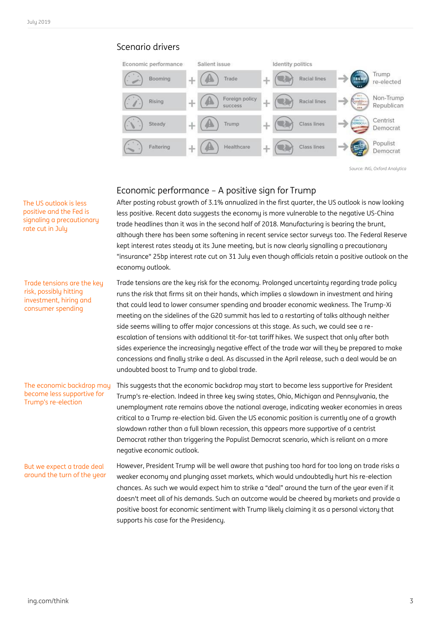## Scenario drivers



*Source: ING, Oxford Analytica*

# Economic performance – A positive sign for Trump

After posting robust growth of 3.1% annualized in the first quarter, the US outlook is now looking less positive. Recent data suggests the economy is more vulnerable to the negative US-China trade headlines than it was in the second half of 2018. Manufacturing is bearing the brunt, although there has been some softening in recent service sector surveys too. The Federal Reserve kept interest rates steady at its June meeting, but is now clearly signalling a precautionary "insurance" 25bp interest rate cut on 31 July even though officials retain a positive outlook on the economy outlook.

Trade tensions are the key risk for the economy. Prolonged uncertainty regarding trade policy runs the risk that firms sit on their hands, which implies a slowdown in investment and hiring that could lead to lower consumer spending and broader economic weakness. The Trump-Xi meeting on the sidelines of the G20 summit has led to a restarting of talks although neither side seems willing to offer major concessions at this stage. As such, we could see a reescalation of tensions with additional tit-for-tat tariff hikes. We suspect that only after both sides experience the increasingly negative effect of the trade war will they be prepared to make concessions and finally strike a deal. As discussed in the April release, such a deal would be an undoubted boost to Trump and to global trade.

This suggests that the economic backdrop may start to become less supportive for President Trump's re-election. Indeed in three key swing states, Ohio, Michigan and Pennsylvania, the unemployment rate remains above the national average, indicating weaker economies in areas critical to a Trump re-election bid. Given the US economic position is currently one of a growth slowdown rather than a full blown recession, this appears more supportive of a centrist Democrat rather than triggering the Populist Democrat scenario, which is reliant on a more negative economic outlook.

However, President Trump will be well aware that pushing too hard for too long on trade risks a weaker economy and plunging asset markets, which would undoubtedly hurt his re-election chances. As such we would expect him to strike a "deal" around the turn of the year even if it doesn't meet all of his demands. Such an outcome would be cheered by markets and provide a positive boost for economic sentiment with Trump likely claiming it as a personal victory that supports his case for the Presidency.

The US outlook is less positive and the Fed is signaling a precautionary rate cut in July

Trade tensions are the key risk, possibly hitting investment, hiring and consumer spending

The economic backdrop may become less supportive for Trump's re-election

### But we expect a trade deal around the turn of the year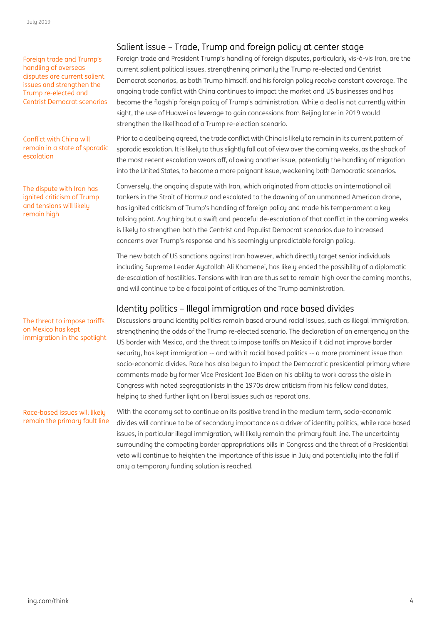### Foreign trade and Trump's handling of overseas disputes are current salient issues and strengthen the Trump re-elected and Centrist Democrat scenarios

Conflict with China will remain in a state of sporadic escalation

The dispute with Iran has ignited criticism of Trump and tensions will likely remain high

### The threat to impose tariffs on Mexico has kept immigration in the spotlight

Race-based issues will likely remain the primary fault line

# Salient issue – Trade, Trump and foreign policy at center stage

Foreign trade and President Trump's handling of foreign disputes, particularly vis-à-vis Iran, are the current salient political issues, strengthening primarily the Trump re-elected and Centrist Democrat scenarios, as both Trump himself, and his foreign policy receive constant coverage. The ongoing trade conflict with China continues to impact the market and US businesses and has become the flagship foreign policy of Trump's administration. While a deal is not currently within sight, the use of Huawei as leverage to gain concessions from Beijing later in 2019 would strengthen the likelihood of a Trump re-election scenario.

Prior to a deal being agreed, the trade conflict with China is likely to remain in its current pattern of sporadic escalation. It is likely to thus slightly fall out of view over the coming weeks, as the shock of the most recent escalation wears off, allowing another issue, potentially the handling of migration into the United States, to become a more poignantissue, weakening both Democratic scenarios.

Conversely, the ongoing dispute with Iran, which originated from attacks on international oil tankers in the Strait of Hormuz and escalated to the downing of an unmanned American drone, has ignited criticism of Trump's handling of foreign policy and made his temperament a key talking point. Anything but a swift and peaceful de-escalation of that conflict in the coming weeks is likely to strengthen both the Centrist and Populist Democrat scenarios due to increased concerns over Trump's response and his seemingly unpredictable foreign policy.

The new batch of US sanctions against Iran however, which directly target senior individuals including Supreme Leader Ayatollah Ali Khamenei, has likely ended the possibility of a diplomatic de-escalation of hostilities. Tensions with Iran are thus set to remain high over the coming months, and will continue to be a focal point of critiques of the Trump administration.

# Identity politics – Illegal immigration and race based divides

Discussions around identity politics remain based around racial issues, such as illegal immigration, strengthening the odds of the Trump re-elected scenario. The declaration of an emergency on the US border with Mexico, and the threat to impose tariffs on Mexico if it did not improve border security, has kept immigration -- and with it racial based politics -- a more prominent issue than socio-economic divides. Race has also begun to impact the Democratic presidential primary where comments made by former Vice President Joe Biden on his ability to work across the aisle in Congress with noted segregationists in the 1970s drew criticism from his fellow candidates, helping to shed further light on liberal issues such as reparations.

With the economy set to continue on its positive trend in the medium term, socio-economic divides will continue to be of secondary importance as a driver of identity politics, while race based issues, in particular illegal immigration, will likely remain the primary fault line. The uncertainty surrounding the competing border appropriations bills in Congress and the threat of a Presidential veto will continue to heighten the importance of this issue in July and potentially into the fall if only a temporary funding solution is reached.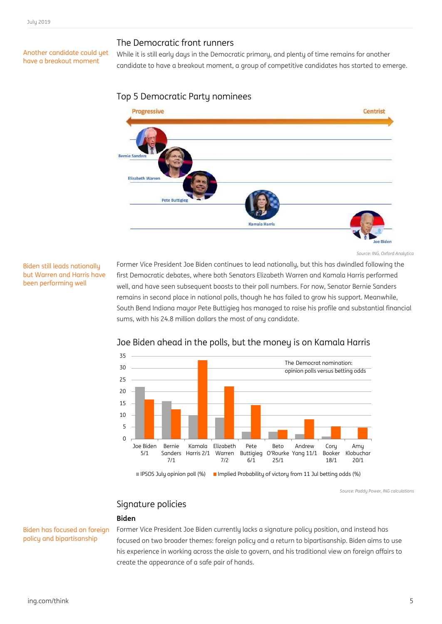Another candidate could yet have a breakout moment

## The Democratic front runners

While it is still early days in the Democratic primary, and plenty of time remains for another candidate to have a breakout moment, a group of competitive candidates has started to emerge.

## Top 5 Democratic Party nominees



*Source: ING, Oxford Analytica*

### Biden still leads nationally but Warren and Harris have been performing well

Former Vice President Joe Biden continues to lead nationally, but this has dwindled following the first Democratic debates, where both Senators Elizabeth Warren and Kamala Harris performed well, and have seen subsequent boosts to their poll numbers. For now, Senator Bernie Sanders remains in second place in national polls, though he has failed to grow his support. Meanwhile, South Bend Indiana mayor Pete Buttigieg has managed to raise his profile and substantial financial sums, with his 24.8 million dollars the most of any candidate.



# Joe Biden ahead in the polls, but the money is on Kamala Harris

 $\blacksquare$  IPSOS July opinion poll (%)  $\blacksquare$  Implied Probability of victory from 11 Jul betting odds (%)

*Source: Paddy Power, ING calculations*

## Signature policies

## **Biden**

Biden has focused on foreign policy and bipartisanship

Former Vice President Joe Biden currently lacks a signature policy position, and instead has focused on two broader themes: foreign policy and a return to bipartisanship. Biden aims to use his experience in working across the aisle to govern, and his traditional view on foreign affairs to create the appearance of a safe pair of hands.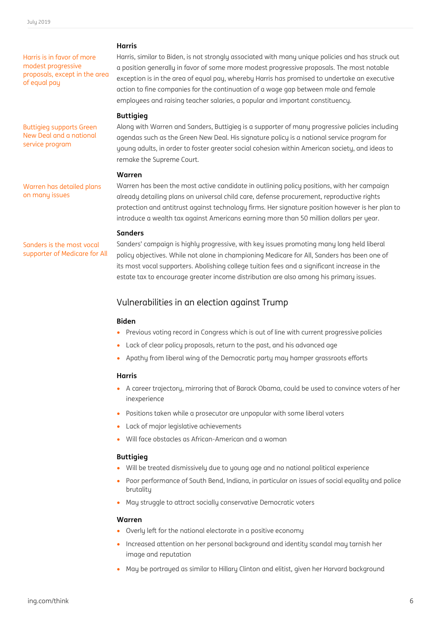Harris is in favor of more modest progressive proposals, except in the area of equal pay

Buttigieg supports Green New Deal and a national service program

Warren has detailed plans on many issues

Sanders is the most vocal supporter of Medicare for All

#### **Harris**

Harris, similar to Biden, is not strongly associated with many unique policies and has struck out a position generally in favor of some more modest progressive proposals. The most notable exception is in the area of equal pay, whereby Harris has promised to undertake an executive action to fine companies for the continuation of a wage gap between male and female employees and raising teacher salaries, a popular and important constituency.

## **Buttigieg**

Along with Warren and Sanders, Buttigieg is a supporter of many progressive policies including agendas such as the Green New Deal. His signature policy is a national service program for young adults, in order to foster greater social cohesion within American society, and ideas to remake the Supreme Court.

## **Warren**

Warren has been the most active candidate in outlining policy positions, with her campaign already detailing plans on universal child care, defense procurement, reproductive rights protection and antitrust against technology firms. Her signature position however is her plan to introduce a wealth tax against Americans earning more than 50 million dollars per year.

## **Sanders**

Sanders' campaign is highly progressive, with key issues promoting many long held liberal policy objectives. While not alone in championing Medicare for All, Sanders has been one of its most vocal supporters. Abolishing college tuition fees and a significant increase in the estate tax to encourage greater income distribution are also among his primary issues.

## Vulnerabilities in an election against Trump

### **Biden**

- Previous voting record in Congress which is out of line with current progressive policies
- Lack of clear policy proposals, return to the past, and his advanced age
- Apathy from liberal wing of the Democratic party may hamper grassroots efforts

### **Harris**

- A career trajectory, mirroring that of Barack Obama, could be used to convince voters of her inexperience
- Positions taken while a prosecutor are unpopular with some liberal voters
- Lack of major legislative achievements
- Will face obstacles as African-American and a woman

#### **Buttigieg**

- Will be treated dismissively due to young age and no national political experience
- Poor performance of South Bend, Indiana, in particular on issues of social equality and police brutality
- May struggle to attract socially conservative Democratic voters

#### **Warren**

- Overly left for the national electorate in a positive economy
- Increased attention on her personal background and identity scandal may tarnish her image and reputation
- May be portrayed as similar to Hillary Clinton and elitist, given her Harvard background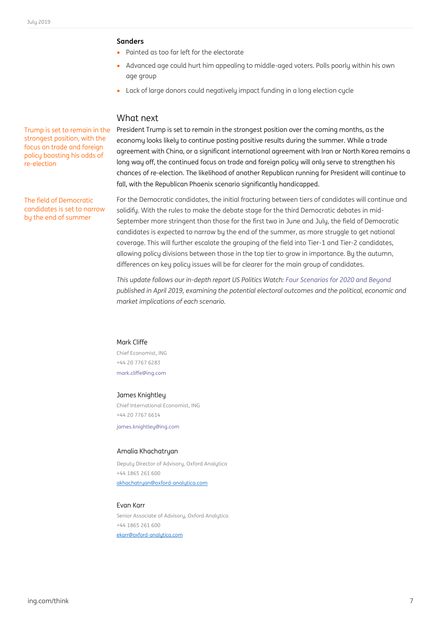## **Sanders**

- Painted as too far left for the electorate
- Advanced age could hurt him appealing to middle-aged voters. Polls poorly within his own age group
- Lack of large donors could negatively impact funding in a long election cycle

## What next

President Trump is set to remain in the strongest position over the coming months, as the economy looks likely to continue posting positive results during the summer. While a trade agreement with China, or a significant international agreement with Iran or North Korea remains a long way off, the continued focus on trade and foreign policy will only serve to strengthen his chances of re-election. The likelihood of another Republican running for President will continue to fall, with the Republican Phoenix scenario significantly handicapped.

For the Democratic candidates, the initial fracturing between tiers of candidates will continue and solidify. With the rules to make the debate stage for the third Democratic debates in mid-September more stringent than those for the first two in June and July, the field of Democratic candidates is expected to narrow by the end of the summer, as more struggle to get national coverage. This will further escalate the grouping of the field into Tier-1 and Tier-2 candidates, allowing policy divisions between those in the top tier to grow in importance. By the autumn, differences on key policy issues will be far clearer for the main group of candidates.

*This update follows our in-depth report US Politics Watch[: Four Scenarios for 2020 and Beyond](https://think.ing.com/uploads/reports/US_Election_AprilRBfinal_3.pdf) published in April 2019, examining the potential electoral outcomes and the political, economic and market implications of each scenario.*

#### Mark Cliffe

Chief Economist, ING +44 20 7767 6283 [mark.cliffe@ing.com](mailto:mark.cliffe@ing.com)

#### James Knightley

Chief International Economist, ING +44 20 7767 6614

[james.knightley@ing.com](mailto:james.knightley@ing.com)

#### Amalia Khachatryan

Deputy Director of Advisory, Oxford Analytica +44 1865 261 600 [akhachatryan@oxford-analytica.com](mailto:akhachatryan@oxford-analytica.com)

#### Evan Karr

Senior Associate of Advisory, Oxford Analytica +44 1865 261 600 [ekarr@oxford-analytica.com](mailto:ekarr@oxford-analytica.com)

Trump is set to remain in the strongest position, with the focus on trade and foreign policy boosting his odds of re-election

The field of Democratic candidates is set to narrow by the end of summer